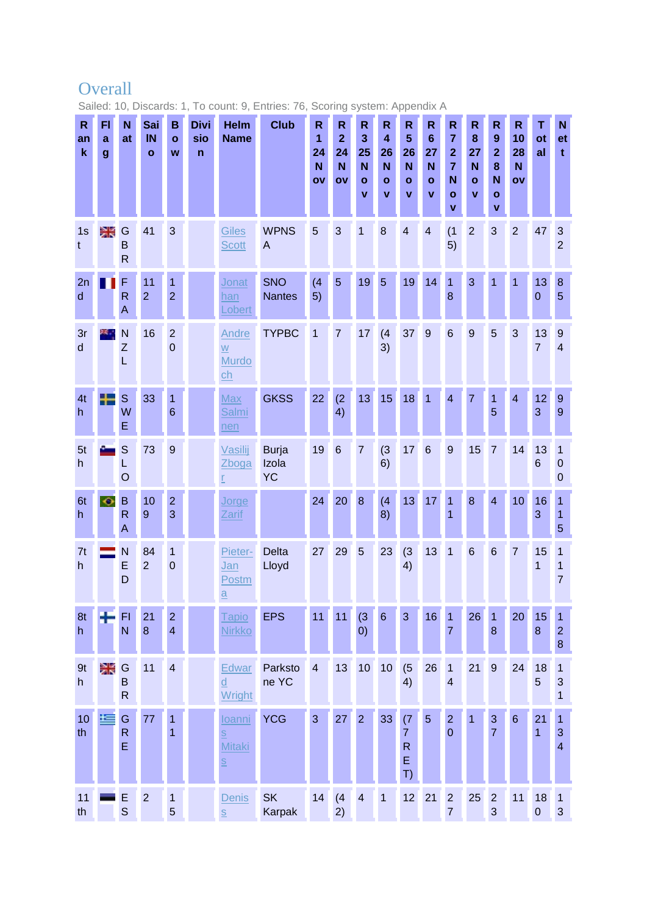## **Overall**

Sailed: 10, Discards: 1, To count: 9, Entries: 76, Scoring system: Appendix A

| R<br>an<br>$\mathbf k$ | F1<br>a<br>$\boldsymbol{g}$ | N<br>at                           | Sai<br>IN<br>$\mathbf{o}$ | B<br>$\mathbf{o}$<br>W           | <b>Divi</b><br>sio<br>$\mathsf{n}$ | <b>Helm</b><br><b>Name</b>                                                                              | <b>Club</b>                        | $\mathsf{R}$<br>1<br>24<br>N<br>OV | $\mathsf R$<br>$\overline{\mathbf{2}}$<br>24<br>N<br>o٧ | R<br>3<br>25<br>N<br>$\mathbf{o}$<br>$\mathbf v$ | $\mathsf{R}$<br>$\overline{\mathbf{4}}$<br>26<br>N<br>$\mathbf{o}$<br>v | $\mathsf R$<br>$5\phantom{1}$<br>26<br>N<br>$\mathbf{o}$<br>V | $\mathsf{R}$<br>$6\phantom{1}6$<br>27<br>N<br>$\mathbf{o}$<br>$\mathbf{v}$ | $\mathsf{R}$<br>$\overline{7}$<br>$\mathbf{2}$<br>$\overline{7}$<br>N<br>$\mathbf{o}$<br>$\mathbf v$ | $\mathsf{R}$<br>8<br>27<br>$\mathbf N$<br>$\mathbf{o}$<br>$\mathbf{V}$ | $\mathsf{R}$<br>$\boldsymbol{9}$<br>$\overline{2}$<br>8<br>N<br>$\mathbf{o}$<br>V | $\mathsf{R}$<br>10<br>28<br>N<br>OV | T<br>ot<br>al        | N<br>et<br>$\mathbf t$                                  |
|------------------------|-----------------------------|-----------------------------------|---------------------------|----------------------------------|------------------------------------|---------------------------------------------------------------------------------------------------------|------------------------------------|------------------------------------|---------------------------------------------------------|--------------------------------------------------|-------------------------------------------------------------------------|---------------------------------------------------------------|----------------------------------------------------------------------------|------------------------------------------------------------------------------------------------------|------------------------------------------------------------------------|-----------------------------------------------------------------------------------|-------------------------------------|----------------------|---------------------------------------------------------|
| 1s<br>t                | 深                           | G<br>B<br>$\mathsf{R}$            | 41                        | 3                                |                                    | <b>Giles</b><br><b>Scott</b>                                                                            | <b>WPNS</b><br>A                   | 5                                  | 3                                                       | $\overline{1}$                                   | 8                                                                       | $\overline{4}$                                                | $\overline{4}$                                                             | (1)<br>5)                                                                                            | $\overline{2}$                                                         | 3                                                                                 | $\overline{2}$                      | 47                   | $\sqrt{3}$<br>$\overline{2}$                            |
| 2n<br>d                |                             | F<br>$\mathsf{R}$<br>A            | 11<br>$\overline{2}$      | $\mathbf{1}$<br>$\overline{2}$   |                                    | Jonat<br>han<br>Lobert                                                                                  | <b>SNO</b><br><b>Nantes</b>        | (4)<br>5)                          | 5                                                       | 19                                               | 5                                                                       | 19                                                            | 14                                                                         | $\mathbf{1}$<br>8                                                                                    | 3                                                                      | 1                                                                                 | $\overline{1}$                      | 13<br>$\mathbf 0$    | $\bf 8$<br>$\overline{5}$                               |
| 3r<br>$\mathsf{d}$     |                             | N<br>Z<br>L                       | 16                        | $\overline{2}$<br>$\mathbf 0$    |                                    | Andre<br>W<br>Murdo<br>ch                                                                               | <b>TYPBC</b>                       | $\overline{1}$                     | $\overline{7}$                                          | 17                                               | (4)<br>3)                                                               | 37                                                            | $\overline{9}$                                                             | $6\phantom{1}$                                                                                       | $\overline{9}$                                                         | 5                                                                                 | 3                                   | 13<br>$\overline{7}$ | $\overline{9}$<br>$\overline{4}$                        |
| 4t<br>h.               | ╇                           | $\mathsf{s}$<br>W<br>E            | 33                        | 1<br>$6\phantom{1}$              |                                    | <b>Max</b><br>Salmi<br>nen                                                                              | <b>GKSS</b>                        | 22                                 | (2)<br>4)                                               | 13                                               | 15                                                                      | 18                                                            | 1                                                                          | $\overline{\mathbf{4}}$                                                                              | $\overline{7}$                                                         | 1<br>5                                                                            | $\overline{\mathbf{4}}$             | 12 <sub>2</sub><br>3 | $\overline{9}$<br>$\overline{9}$                        |
| 5 <sub>t</sub><br>h    |                             | S<br>L<br>$\circ$                 | 73                        | 9                                |                                    | Vasilij<br>Zboga<br>ŗ                                                                                   | <b>Burja</b><br>Izola<br><b>YC</b> | 19                                 | $6\phantom{1}6$                                         | $\overline{7}$                                   | (3)<br>6)                                                               | 17                                                            | $6\phantom{1}6$                                                            | 9                                                                                                    | 15                                                                     | $\overline{7}$                                                                    | 14                                  | 13<br>6              | $\mathbf{1}$<br>$\mathbf 0$<br>$\mathbf 0$              |
| 6t<br>h.               | $\overline{\diamond}$       | B<br>$\overline{\mathsf{R}}$<br>A | 10<br>9                   | $\overline{2}$<br>3              |                                    | Jorge<br><b>Zarif</b>                                                                                   |                                    | 24                                 | 20                                                      | $\boldsymbol{8}$                                 | (4)<br>8)                                                               | 13                                                            | 17                                                                         | $\mathbf{1}$<br>1                                                                                    | 8                                                                      | $\overline{4}$                                                                    | 10                                  | 16<br>3              | 1<br>$\mathbf{1}$<br>5                                  |
| 7t<br>h.               |                             | N<br>E<br>D                       | 84<br>$\overline{2}$      | 1<br>$\mathbf 0$                 |                                    | Pieter-<br>Jan<br>Postm<br>$\underline{a}$                                                              | <b>Delta</b><br>Lloyd              | 27                                 | 29                                                      | $\overline{5}$                                   | 23                                                                      | (3)<br>4)                                                     | 13                                                                         | 1                                                                                                    | $6\phantom{1}6$                                                        | $6\phantom{1}6$                                                                   | $\overline{7}$                      | 15<br>1              | 1<br>1<br>$\overline{7}$                                |
| 8t<br>h                |                             | FI<br>N                           | 21<br>$\boldsymbol{8}$    | $\overline{2}$<br>$\overline{4}$ |                                    | Tapio<br><b>Nirkko</b>                                                                                  | <b>EPS</b>                         | 11                                 | 11                                                      | (3)<br>(0)                                       | $6\phantom{a}$                                                          | 3                                                             | 16                                                                         | $\mathbf{1}$<br>$\overline{7}$                                                                       | 26                                                                     | $\mathbf{1}$<br>$\boldsymbol{8}$                                                  | 20                                  | 15<br>$\bf 8$        | 1<br>$\mathbf{2}$<br>$\bf 8$                            |
| 9t<br>h                | 采                           | G<br>B<br>$\mathsf{R}$            | 11                        | $\overline{4}$                   |                                    | Edwar<br>d<br>Wright                                                                                    | Parksto<br>ne YC                   | $\overline{4}$                     | 13                                                      | 10                                               | 10                                                                      | (5)<br>4)                                                     | 26                                                                         | $\mathbf{1}$<br>$\overline{\mathbf{4}}$                                                              | 21                                                                     | $9\,$                                                                             | 24                                  | 18<br>$\overline{5}$ | 1<br>$\mathbf{3}$<br>1                                  |
| 10<br>th               | 挂                           | G<br>$\mathsf{R}$<br>Ė            | 77                        | 1<br>$\overline{1}$              |                                    | loanni<br>$\underline{\underline{\mathsf{S}}}$<br><b>Mitaki</b><br>$\underline{\underline{\mathsf{S}}}$ | <b>YCG</b>                         | 3                                  | 27                                                      | $\overline{2}$                                   | 33                                                                      | (7)<br>$\overline{7}$<br>${\sf R}$<br>E<br>T)                 | $\overline{5}$                                                             | $\overline{2}$<br>$\overline{0}$                                                                     | $\overline{1}$                                                         | $\sqrt{3}$<br>$\overline{7}$                                                      | $\,$ 6 $\,$                         | 21<br>1              | $\mathbf{1}$<br>$\mathbf{3}$<br>$\overline{\mathbf{4}}$ |
| 11<br>th               |                             | E<br>S                            | $\overline{2}$            | $\mathbf{1}$<br>$\overline{5}$   |                                    | Denis<br>$\overline{\underline{\mathsf{S}}}$                                                            | <b>SK</b><br>Karpak                | 14                                 | (4)<br>2)                                               | $\overline{4}$                                   | $\overline{1}$                                                          | 12                                                            | 21                                                                         | $\overline{c}$<br>$\overline{7}$                                                                     | 25                                                                     | $\overline{c}$<br>$\mathbf{3}$                                                    | 11                                  | 18<br>$\pmb{0}$      | $\overline{1}$<br>$\mathbf{3}$                          |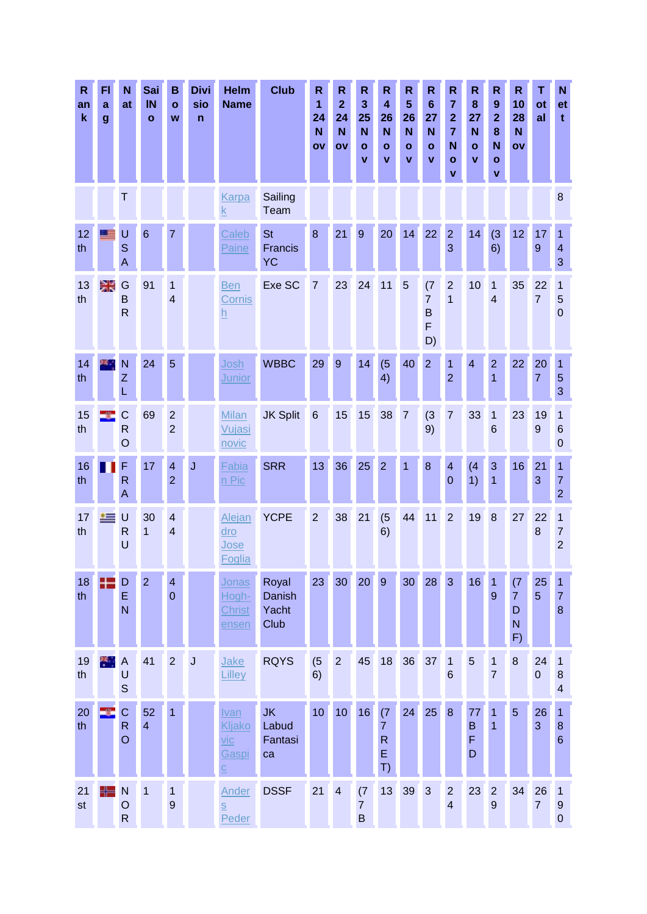| $\mathsf{R}$<br>an<br>$\mathbf k$ | FI<br>a<br>$\boldsymbol{g}$ | N<br>at                                       | Sai<br>IN<br>$\mathbf{o}$ | B<br>$\mathbf{o}$<br>W                    | <b>Divi</b><br>sio<br>n | Helm<br><b>Name</b>                                           | <b>Club</b>                         | $\mathsf{R}$<br>1<br>24<br>N<br>OV | R<br>$\overline{2}$<br>24<br>N<br>OV | $\mathsf{R}$<br>$\overline{\mathbf{3}}$<br>25<br>N<br>$\mathbf{o}$<br>V | $\mathsf R$<br>$\overline{\mathbf{4}}$<br>26<br>N<br>$\mathbf{o}$<br>$\mathbf v$ | R<br>5<br>26<br>N<br>$\mathbf{o}$<br>V | $\mathsf R$<br>$6\phantom{1}$<br>27<br>N<br>$\mathbf{o}$<br>v | $\mathsf{R}$<br>$\overline{7}$<br>$\overline{2}$<br>$\overline{7}$<br>N<br>$\mathbf{o}$<br>$\mathbf{v}$ | R<br>8<br>27<br>N<br>$\mathbf{o}$<br>V | R<br>$\boldsymbol{9}$<br>$\overline{\mathbf{2}}$<br>8<br>N<br>$\mathbf{o}$<br>v | $\mathbf R$<br>10<br>28<br>N<br>ov    | т<br>ot<br>al        | N<br>et<br>t                                |
|-----------------------------------|-----------------------------|-----------------------------------------------|---------------------------|-------------------------------------------|-------------------------|---------------------------------------------------------------|-------------------------------------|------------------------------------|--------------------------------------|-------------------------------------------------------------------------|----------------------------------------------------------------------------------|----------------------------------------|---------------------------------------------------------------|---------------------------------------------------------------------------------------------------------|----------------------------------------|---------------------------------------------------------------------------------|---------------------------------------|----------------------|---------------------------------------------|
|                                   |                             | T                                             |                           |                                           |                         | <b>Karpa</b><br>$\underline{k}$                               | Sailing<br>Team                     |                                    |                                      |                                                                         |                                                                                  |                                        |                                                               |                                                                                                         |                                        |                                                                                 |                                       |                      | 8                                           |
| 12<br>th                          |                             | U<br>S<br>A                                   | $6\phantom{1}6$           | $\overline{7}$                            |                         | Caleb<br>Paine                                                | <b>St</b><br>Francis<br><b>YC</b>   | 8                                  | 21                                   | 9                                                                       | 20                                                                               | 14                                     | 22                                                            | $\overline{2}$<br>3                                                                                     | 14                                     | (3)<br>6)                                                                       | 12                                    | 17<br>9              | 1<br>$\overline{4}$<br>3                    |
| 13<br>th                          | 兴                           | G<br>B<br>$\mathsf{R}$                        | 91                        | 1<br>4                                    |                         | <b>Ben</b><br>Cornis<br><u>h</u>                              | Exe SC                              | $\overline{7}$                     | 23                                   | 24                                                                      | 11                                                                               | 5                                      | (7)<br>$\overline{7}$<br>B<br>F<br>D)                         | $\overline{2}$<br>1                                                                                     | 10                                     | 1<br>4                                                                          | 35                                    | 22<br>$\overline{7}$ | 1<br>5<br>$\mathbf 0$                       |
| 14<br>th                          | 24.1                        | N<br>Ζ<br>L                                   | 24                        | 5                                         |                         | Josh<br><b>Junior</b>                                         | <b>WBBC</b>                         | 29                                 | 9                                    | 14                                                                      | (5)<br>4)                                                                        | 40                                     | $\overline{2}$                                                | 1<br>$\overline{2}$                                                                                     | $\overline{4}$                         | $\overline{2}$<br>1                                                             | 22                                    | 20<br>7              | 1<br>5<br>3                                 |
| 15<br>th                          |                             | $\mathsf{C}$<br>$\mathsf{R}$<br>$\circ$       | 69                        | $\overline{2}$<br>$\overline{2}$          |                         | <b>Milan</b><br>Vujasi<br>novic                               | <b>JK Split</b>                     | $6\phantom{1}6$                    | 15                                   | 15                                                                      | 38                                                                               | $\overline{7}$                         | (3)<br>9)                                                     | $\overline{7}$                                                                                          | 33                                     | 1<br>6                                                                          | 23                                    | 19<br>9              | 1<br>$6\phantom{1}6$<br>$\mathbf 0$         |
| 16<br>th                          |                             | F<br>$\mathsf{R}$<br>A                        | 17                        | $\overline{\mathbf{4}}$<br>$\overline{2}$ | J                       | Fabia<br>n Pic                                                | <b>SRR</b>                          | 13                                 | 36                                   | 25                                                                      | $\overline{2}$                                                                   | 1                                      | 8                                                             | $\overline{\mathbf{4}}$<br>$\overline{0}$                                                               | (4)<br>1)                              | 3<br>1                                                                          | 16                                    | 21<br>3              | 1<br>$\overline{7}$<br>$\overline{2}$       |
| 17<br>th                          | 隼                           | U<br>$\mathsf{R}$<br>U                        | 30<br>$\mathbf{1}$        | $\overline{\mathbf{4}}$<br>$\overline{4}$ |                         | <b>Alejan</b><br>dro<br>Jose<br>Foglia                        | <b>YCPE</b>                         | $\overline{2}$                     | 38                                   | 21                                                                      | (5)<br>6)                                                                        | 44                                     | 11                                                            | $\overline{2}$                                                                                          | 19                                     | 8                                                                               | 27                                    | 22<br>8              | 1<br>7<br>$\overline{2}$                    |
| 18<br>th                          |                             | D<br>E<br>N                                   | $\overline{2}$            | $\overline{\mathbf{4}}$<br>$\overline{0}$ |                         | Jonas<br>Hogh-<br><b>Christ</b><br>ensen                      | Royal<br>Danish<br>Yacht<br>Club    | 23                                 | 30                                   | 20                                                                      | 9                                                                                | 30                                     | 28                                                            | $\overline{3}$                                                                                          | 16                                     | $\mathbf{1}$<br>9                                                               | (7)<br>$\overline{7}$<br>D<br>N<br>F) | 25<br>5              | 1<br>$\overline{7}$<br>$\boldsymbol{8}$     |
| 19<br>th                          | æ.,                         | $\overline{A}$<br>U<br>$\mathbf S$            | 41                        | $\overline{2}$                            | $\mathsf{J}$            | Jake<br>Lilley                                                | <b>RQYS</b>                         | (5)<br>6)                          | $\overline{2}$                       | 45                                                                      | 18                                                                               | 36                                     | 37                                                            | $\overline{1}$<br>$6\phantom{1}6$                                                                       | $\overline{5}$                         | 1<br>$\overline{7}$                                                             | $\bf 8$                               | 24<br>$\mathbf 0$    | 1<br>$\bf 8$<br>$\overline{\mathbf{4}}$     |
| 20<br>th                          |                             | $\mathbf C$<br>$\mathsf{R}$<br>$\overline{O}$ | 52<br>$\overline{4}$      | $\overline{1}$                            |                         | Ivan<br>Kljako<br>vic<br>Gaspi<br>$\overline{C}$              | <b>JK</b><br>Labud<br>Fantasi<br>ca | 10 <sub>1</sub>                    | 10                                   | 16                                                                      | (7)<br>$\overline{7}$<br>$\mathsf{R}$<br>E<br>T)                                 | 24                                     | 25                                                            | $\bf 8$                                                                                                 | 77<br>$\sf B$<br>F<br>D                | 1<br>1                                                                          | $\overline{5}$                        | 26<br>3              | $\mathbf{1}$<br>$\, 8$<br>$6\phantom{1}6$   |
| 21<br>st                          | ╇                           | $\mathsf{N}$<br>$\circ$<br>${\sf R}$          | $\overline{1}$            | 1<br>$\overline{9}$                       |                         | <b>Ander</b><br>$\underline{\underline{\mathsf{S}}}$<br>Peder | <b>DSSF</b>                         | 21                                 | $\overline{4}$                       | (7)<br>$\overline{7}$<br>$\sf B$                                        | 13                                                                               | 39                                     | $\mathbf{3}$                                                  | $\sqrt{2}$<br>$\overline{\mathbf{4}}$                                                                   | 23                                     | $\overline{2}$<br>$\overline{9}$                                                | 34                                    | 26<br>$\overline{7}$ | $\mathbf{1}$<br>$\overline{9}$<br>$\pmb{0}$ |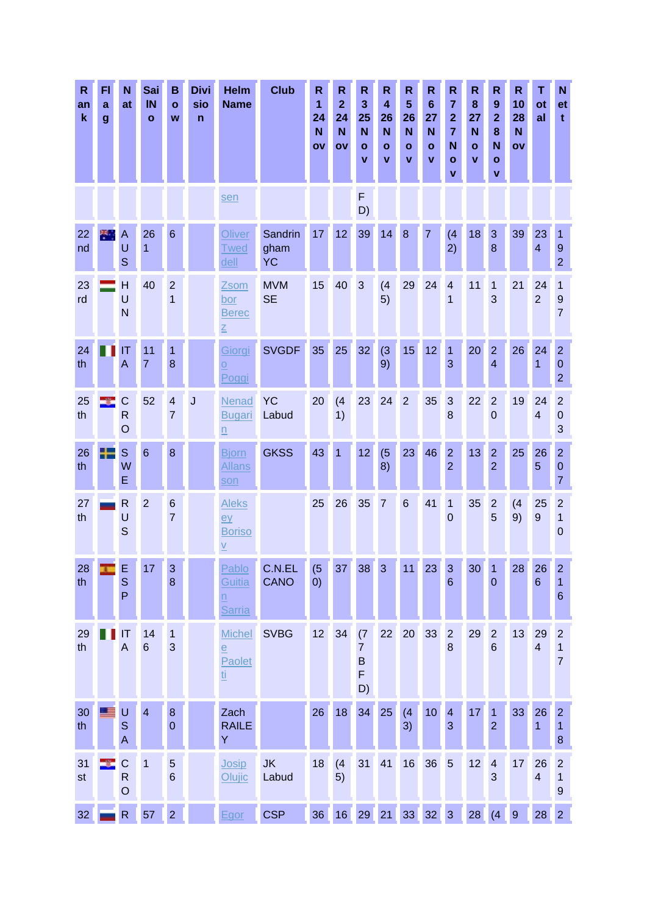| R<br>an<br>$\mathbf k$ | F <sub>1</sub><br>a<br>$\boldsymbol{g}$ | N<br>at                                 | Sai<br>IN<br>$\mathbf{o}$ | в<br>$\mathbf{o}$<br>W            | <b>Divi</b><br>sio<br>$\mathsf{n}$ | <b>Helm</b><br><b>Name</b>                                       | <b>Club</b>                  | R<br>1<br>24<br>N<br>OV | $\mathsf{R}$<br>$\overline{2}$<br>24<br>N<br>OV | R<br>3<br>25<br>N<br>$\mathbf{o}$<br>v                    | $\mathsf R$<br>$\overline{\mathbf{4}}$<br>26<br>N<br>$\mathbf{o}$<br>v | $\mathsf R$<br>5<br>26<br>N<br>$\bullet$<br>$\mathbf{v}$ | $\mathsf R$<br>$6\phantom{1}$<br>27<br>N<br>$\mathbf{o}$<br>v | R<br>$\overline{7}$<br>$\overline{\mathbf{2}}$<br>$\overline{7}$<br>N<br>$\mathbf{o}$<br>$\mathbf v$ | R<br>8<br>27<br>N<br>$\mathbf{o}$<br>$\mathbf v$ | R<br>9<br>$\mathbf{2}$<br>8<br>N<br>$\mathbf{o}$<br>$\mathbf{v}$ | $\mathbf R$<br>10<br>28<br>N <sub>1</sub><br>OV | т<br>ot<br>al        | N<br>et<br>$\mathbf t$                               |
|------------------------|-----------------------------------------|-----------------------------------------|---------------------------|-----------------------------------|------------------------------------|------------------------------------------------------------------|------------------------------|-------------------------|-------------------------------------------------|-----------------------------------------------------------|------------------------------------------------------------------------|----------------------------------------------------------|---------------------------------------------------------------|------------------------------------------------------------------------------------------------------|--------------------------------------------------|------------------------------------------------------------------|-------------------------------------------------|----------------------|------------------------------------------------------|
|                        |                                         |                                         |                           |                                   |                                    | sen                                                              |                              |                         |                                                 | F<br>D)                                                   |                                                                        |                                                          |                                                               |                                                                                                      |                                                  |                                                                  |                                                 |                      |                                                      |
| 22<br>nd               | 圈.                                      | A<br>U<br>$\mathbf S$                   | 26<br>$\overline{1}$      | 6                                 |                                    | Oliver<br><b>Twed</b><br><u>dell</u>                             | Sandrin<br>gham<br><b>YC</b> | 17                      | 12                                              | 39                                                        | 14                                                                     | 8                                                        | $\overline{7}$                                                | (4)<br>2)                                                                                            | 18                                               | 3<br>8                                                           | 39                                              | 23<br>$\overline{4}$ | 1<br>$9$<br>$\overline{2}$                           |
| 23<br>rd               |                                         | H<br>U<br>N                             | 40                        | $\overline{2}$<br>1               |                                    | Zsom<br>bor<br><b>Berec</b><br>$\overline{\underline{z}}$        | <b>MVM</b><br><b>SE</b>      | 15                      | 40                                              | 3                                                         | (4)<br>5)                                                              | 29                                                       | 24                                                            | $\overline{4}$<br>1                                                                                  | 11                                               | 1<br>3                                                           | 21                                              | 24<br>$\overline{2}$ | 1<br>$9\,$<br>$\overline{7}$                         |
| 24<br>th               |                                         | ΙT<br>A                                 | 11<br>$\overline{7}$      | 1<br>8                            |                                    | Giorgi<br>$\overline{0}$<br>Poggi                                | <b>SVGDF</b>                 | 35                      | 25                                              | 32                                                        | (3)<br>9)                                                              | 15 <sub>1</sub>                                          | 12                                                            | 1<br>3                                                                                               | 20                                               | $\overline{2}$<br>$\overline{\mathbf{4}}$                        | 26                                              | 24<br>1              | $\overline{2}$<br>$\boldsymbol{0}$<br>$\overline{2}$ |
| 25<br>th               |                                         | $\mathsf{C}$<br>$\mathsf{R}$<br>$\circ$ | 52                        | $\overline{4}$<br>$\overline{7}$  | J                                  | Nenad<br><b>Bugari</b><br>$\underline{n}$                        | <b>YC</b><br>Labud           | 20                      | (4)<br>1)                                       | 23                                                        | 24                                                                     | $\overline{2}$                                           | 35                                                            | 3<br>8                                                                                               | 22                                               | $\overline{2}$<br>$\overline{0}$                                 | 19                                              | 24<br>$\overline{4}$ | $\overline{2}$<br>$\pmb{0}$<br>3                     |
| 26<br>th               |                                         | S<br>W<br>E                             | $6\phantom{1}$            | 8                                 |                                    | <b>Bjorn</b><br><b>Allans</b><br>son                             | <b>GKSS</b>                  | 43                      | $\mathbf{1}$                                    | 12                                                        | (5)<br>8)                                                              | 23                                                       | 46                                                            | $\overline{2}$<br>$\overline{2}$                                                                     | 13                                               | $\overline{2}$<br>$\overline{2}$                                 | 25                                              | 26<br>5              | $\overline{2}$<br>$\boldsymbol{0}$<br>$\overline{7}$ |
| 27<br>th               |                                         | $\mathsf{R}$<br>U<br>$\mathsf{S}$       | $\overline{2}$            | $6\phantom{1}6$<br>$\overline{7}$ |                                    | <b>Aleks</b><br>ey<br><b>Boriso</b><br>$\underline{V}$           |                              | 25                      | 26                                              | 35                                                        | $\overline{7}$                                                         | $6\phantom{1}6$                                          | 41                                                            | $\mathbf{1}$<br>$\overline{0}$                                                                       | 35                                               | $\overline{c}$<br>5                                              | (4)<br>9)                                       | 25<br>9              | $\overline{c}$<br>1<br>$\Omega$                      |
| 28<br>th               |                                         | E<br>$\mathbf S$<br>P                   | 11                        | 3<br>8                            |                                    | Pablo<br>Guitia<br>$\underline{n}$<br><b>Sarria</b>              | C.N.EL<br><b>CANO</b>        | (5)<br>(0)              | 37                                              | 38                                                        | 3 <sup>1</sup>                                                         | 11                                                       | 23                                                            | $\overline{3}$<br>$6\phantom{1}$                                                                     | 30                                               | $\mathbf 0$                                                      | 28                                              | 26<br>$6\phantom{1}$ | $\mathbf{z}$<br>1<br>$\,$ 6 $\,$                     |
| 29<br>th               |                                         | IT<br>A                                 | 14<br>$6\phantom{1}$      | 1<br>3                            |                                    | <b>Michel</b><br>$\underline{\mathsf{e}}$<br>Paolet<br><u>ti</u> | <b>SVBG</b>                  | 12 <sub>2</sub>         | 34                                              | (7)<br>$\overline{7}$<br>$\mathsf B$<br>$\mathsf F$<br>D) | 22                                                                     | 20                                                       | 33                                                            | $\overline{2}$<br>8                                                                                  | 29                                               | $\overline{2}$<br>$6\phantom{1}$                                 | 13                                              | 29<br>$\overline{4}$ | $\overline{c}$<br>1<br>$\overline{7}$                |
| 30<br>th               |                                         | U<br>$\mathbb S$<br>A                   | $\overline{\mathbf{4}}$   | $\bf 8$<br>$\mathbf 0$            |                                    | Zach<br><b>RAILE</b><br>Y                                        |                              | 26                      | 18                                              | 34                                                        | 25                                                                     | (4)<br>3)                                                | 10                                                            | $\overline{\mathbf{4}}$<br>3                                                                         | 17                                               | $\mathbf{1}$<br>$\overline{2}$                                   | 33                                              | 26<br>1              | $\overline{2}$<br>1<br>8                             |
| 31<br>st               |                                         | $\mathsf C$<br>${\sf R}$<br>$\circ$     | $\mathbf{1}$              | $\overline{5}$<br>$6\phantom{1}6$ |                                    | Josip<br><b>Olujic</b>                                           | <b>JK</b><br>Labud           | 18                      | (4)<br>5)                                       | 31                                                        | 41                                                                     | 16                                                       | 36                                                            | $5\phantom{.0}$                                                                                      | 12                                               | $\overline{\mathbf{4}}$<br>3                                     | 17                                              | 26<br>$\overline{4}$ | $\overline{2}$<br>1<br>$\boldsymbol{9}$              |
| 32 <sub>2</sub>        |                                         | ${\sf R}$                               | 57                        | $\overline{2}$                    |                                    | Egor                                                             | <b>CSP</b>                   | 36                      |                                                 | 16 29 21                                                  |                                                                        | 33 32 3                                                  |                                                               |                                                                                                      | 28                                               | (4)                                                              | 9                                               | 28                   | 2 <sup>1</sup>                                       |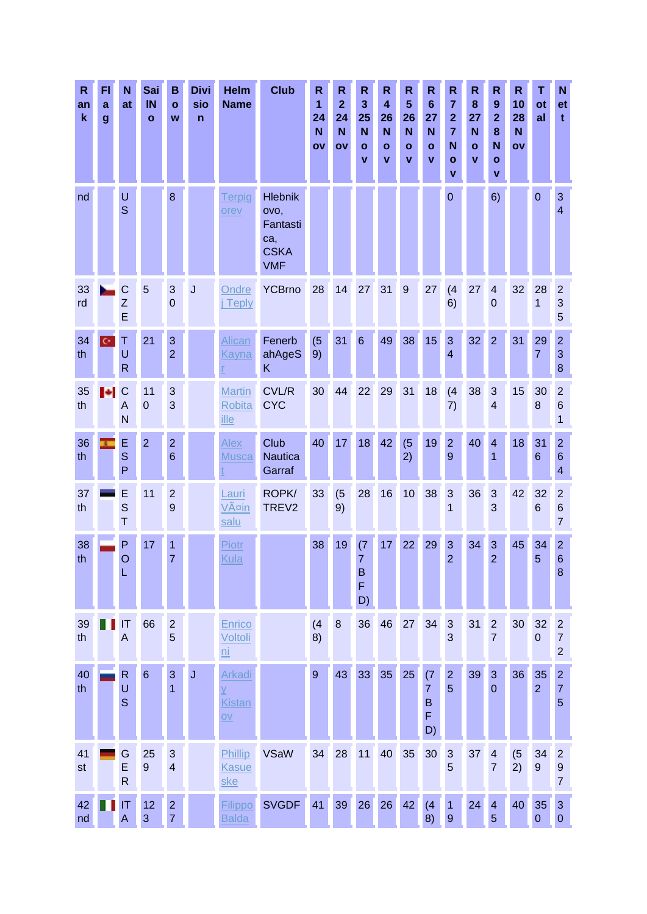| R<br>an<br>$\mathbf k$ | FI<br>a<br>$\boldsymbol{g}$ | N<br>at                          | Sai<br>IN<br>$\mathbf{o}$ | B<br>$\mathbf{o}$<br>W                | <b>Divi</b><br>sio<br>$\mathsf{n}$ | <b>Helm</b><br><b>Name</b>                               | <b>Club</b>                                                            | $\mathsf{R}$<br>1<br>24<br>N<br>OV | $\mathsf{R}$<br>$\overline{2}$<br>24<br>N<br>ov | R<br>3<br>25<br>N<br>O<br>V           | $\mathsf{R}$<br>$\overline{\mathbf{4}}$<br>26<br>N<br>$\mathbf{o}$<br>v | $\mathsf{R}$<br>$5\phantom{1}$<br>26<br>N<br>$\mathbf{o}$<br>V | $\mathsf{R}$<br>$6\phantom{1}$<br>27<br>N<br>$\mathbf{o}$<br>v | $\mathsf{R}$<br>$\overline{7}$<br>$\overline{2}$<br>$\overline{7}$<br>N<br>$\mathbf{o}$<br>$\mathbf v$ | R<br>8<br>27<br>N<br>$\mathbf{o}$<br>V | R<br>9<br>$\overline{2}$<br>8<br>N<br>$\mathbf{o}$<br>v | $\mathbf R$<br>10<br>28<br>N<br>OV | Τ<br>ot<br>al          | N<br>et<br>t                                          |
|------------------------|-----------------------------|----------------------------------|---------------------------|---------------------------------------|------------------------------------|----------------------------------------------------------|------------------------------------------------------------------------|------------------------------------|-------------------------------------------------|---------------------------------------|-------------------------------------------------------------------------|----------------------------------------------------------------|----------------------------------------------------------------|--------------------------------------------------------------------------------------------------------|----------------------------------------|---------------------------------------------------------|------------------------------------|------------------------|-------------------------------------------------------|
| nd                     |                             | U<br>S                           |                           | 8                                     |                                    | Terpig<br>orev                                           | <b>Hlebnik</b><br>ovo,<br>Fantasti<br>ca,<br><b>CSKA</b><br><b>VMF</b> |                                    |                                                 |                                       |                                                                         |                                                                |                                                                | $\mathbf 0$                                                                                            |                                        | 6)                                                      |                                    | $\mathbf 0$            | $\mathbf{3}$<br>$\overline{4}$                        |
| 33<br>rd               |                             | C<br>Z<br>E                      | 5                         | 3<br>0                                | J                                  | Ondre<br><b>Teply</b>                                    | <b>YCBrno</b>                                                          | 28                                 | 14                                              | 27                                    | 31                                                                      | 9                                                              | 27                                                             | (4)<br>6)                                                                                              | 27                                     | $\overline{4}$<br>$\overline{0}$                        | 32                                 | 28<br>1                | $\overline{2}$<br>$\mathbf{3}$<br>5                   |
| 34<br>th               | c٠                          | Τ<br>U<br>$\mathsf{R}$           | 21                        | 3<br>$\overline{2}$                   |                                    | <b>Alican</b><br>Kayna                                   | Fenerb<br>ahAgeS<br>K                                                  | (5)<br>9)                          | 31                                              | $6\phantom{1}$                        | 49                                                                      | 38                                                             | 15                                                             | 3<br>$\overline{4}$                                                                                    | 32                                     | $\overline{2}$                                          | 31                                 | 29<br>$\overline{7}$   | $\overline{2}$<br>$\mathbf{3}$<br>8                   |
| 35<br>th               | <b>I</b>                    | C<br>A<br>N                      | 11<br>$\mathbf 0$         | 3<br>3                                |                                    | <b>Martin</b><br>Robita<br>ille                          | <b>CVL/R</b><br><b>CYC</b>                                             | 30                                 | 44                                              | 22                                    | 29                                                                      | 31                                                             | 18                                                             | (4)<br>7)                                                                                              | 38                                     | 3<br>$\overline{4}$                                     | 15                                 | 30<br>8                | $\overline{2}$<br>$6\phantom{1}6$<br>1                |
| 36<br>th               |                             | E<br>S<br>P                      | $\overline{2}$            | $\overline{2}$<br>$6\phantom{1}6$     |                                    | Alex<br><b>Musca</b>                                     | Club<br><b>Nautica</b><br>Garraf                                       | 40                                 | 17                                              | 18                                    | 42                                                                      | (5)<br>2)                                                      | 19                                                             | $\overline{2}$<br>9                                                                                    | 40                                     | $\overline{4}$<br>1                                     | 18                                 | 31<br>6                | $\overline{2}$<br>$\,6\,$<br>4                        |
| 37<br>th               |                             | E<br>S<br>T                      | 11                        | $\overline{2}$<br>9                   |                                    | Lauri<br>Väin<br>salu                                    | ROPK/<br>TREV <sub>2</sub>                                             | 33                                 | (5)<br>9)                                       | 28                                    | 16                                                                      | 10 <sup>1</sup>                                                | 38                                                             | 3<br>1                                                                                                 | 36                                     | 3<br>3                                                  | 42                                 | 32<br>6                | $\overline{c}$<br>$6\phantom{1}6$<br>$\overline{7}$   |
| 38<br>th               |                             | P<br>O<br>L                      | 17                        | 1<br>7                                |                                    | Piotr<br>Kula                                            |                                                                        | 38                                 | 19                                              | (7)<br>$\overline{7}$<br>B<br>F<br>D) | 17                                                                      | 22                                                             | 29                                                             | 3<br>$\overline{2}$                                                                                    | 34                                     | 3<br>$\overline{2}$                                     | 45                                 | 34<br>5                | 2 <sup>1</sup><br>$6\phantom{1}6$<br>$\boldsymbol{8}$ |
| 39<br>th               |                             | IT<br>$\mathsf{A}$               | 66                        | $\overline{2}$<br>5                   |                                    | Enrico<br>Voltoli<br>$\overline{\mathsf{ni}}$            |                                                                        | (4)<br>8)                          | 8                                               | 36                                    | 46                                                                      | 27                                                             | 34                                                             | $\mathbf{3}$<br>3                                                                                      | 31                                     | $\overline{2}$<br>$\overline{7}$                        | 30                                 | 32<br>$\overline{0}$   | $\overline{c}$<br>$\overline{7}$<br>$\overline{2}$    |
| 40<br>th               |                             | $\mathsf{R}$<br>U<br>$\mathbf S$ | $6\phantom{a}$            | 3<br>$\overline{1}$                   | J                                  | <b>Arkadi</b><br>$\overline{Y}$<br><b>Kistan</b><br>$ov$ |                                                                        | $\overline{9}$                     | 43                                              | 33                                    | 35                                                                      | 25                                                             | (7)<br>$\overline{7}$<br>B<br>F<br>D)                          | $\mathbf{2}$<br>$\overline{5}$                                                                         | 39                                     | $\mathbf{3}$<br>$\overline{0}$                          | 36                                 | 35<br>$\overline{2}$   | $\overline{2}$<br>$\overline{7}$<br>5                 |
| 41<br>st               |                             | G<br>E<br>$\mathsf{R}$           | 25<br>9                   | $\sqrt{3}$<br>$\overline{\mathbf{4}}$ |                                    | Phillip<br>Kasue<br><u>ske</u>                           | <b>VSaW</b>                                                            | 34                                 | 28                                              | 11                                    | 40                                                                      | 35                                                             | 30                                                             | $\mathbf{3}$<br>5                                                                                      | 37                                     | $\overline{\mathbf{4}}$<br>$\overline{7}$               | (5)<br>2)                          | 34<br>$\boldsymbol{9}$ | $\overline{2}$<br>$\boldsymbol{9}$<br>$\overline{7}$  |
| 42<br>nd               |                             | IT<br>Α                          | 12<br>3                   | $\mathbf 2$<br>$\overline{7}$         |                                    | <b>Filippo</b><br><b>Balda</b>                           | <b>SVGDF</b>                                                           | 41                                 | 39                                              | 26                                    | 26                                                                      | 42                                                             | (4)<br>8)                                                      | $\overline{1}$<br>$\overline{9}$                                                                       | 24                                     | $\overline{4}$<br>5                                     | 40                                 | 35<br>$\boldsymbol{0}$ | $\mathbf{3}$<br>$\mathbf 0$                           |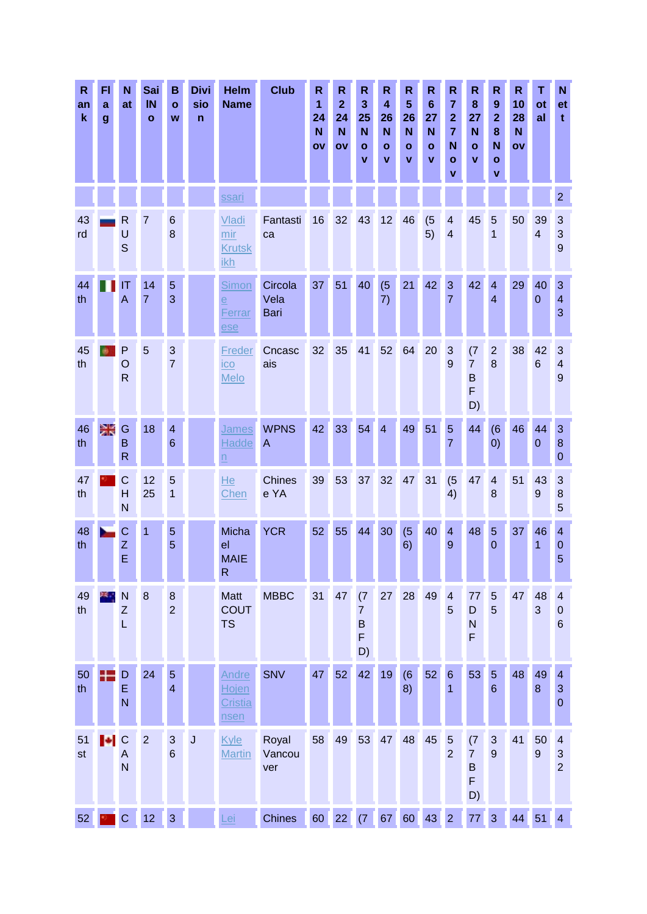| R<br>an<br>$\pmb{\mathsf{k}}$ | FI<br>a<br>$\boldsymbol{g}$  | N<br>at                                 | Sai<br>IN<br>$\mathbf{o}$ | в<br>$\mathbf{o}$<br>W             | <b>Divi</b><br>sio<br>$\mathsf{n}$ | Helm<br><b>Name</b>                             | <b>Club</b>                   | $\mathsf{R}$<br>$\mathbf{1}$<br>24<br>N<br>OV | $\mathsf{R}$<br>$\overline{2}$<br>24<br>N<br>OV | $\mathsf{R}$<br>3<br>25<br>N<br>O<br>v | $\mathsf{R}$<br>$\boldsymbol{4}$<br>26<br>N<br>$\mathbf{o}$<br>$\mathbf v$ | $\mathsf{R}$<br>$5\phantom{1}$<br>26<br>$\mathbf N$<br>$\mathbf{o}$<br>$\mathbf{v}$ | $\mathsf{R}$<br>$6\phantom{1}$<br>27<br>N<br>$\mathbf{o}$<br>v | $\mathsf{R}$<br>$\overline{7}$<br>$\mathbf{2}$<br>$\overline{7}$<br>N<br>$\mathbf{o}$<br>v | $\mathsf{R}$<br>8<br>27<br>N<br>$\mathbf{o}$<br>$\mathbf v$ | R<br>9<br>$\mathbf{2}$<br>8<br>N<br>$\mathbf{o}$<br>v | $\mathbf R$<br>10<br>28<br>N<br>OV | т<br>ot<br>al          | N<br>et<br>t                                     |
|-------------------------------|------------------------------|-----------------------------------------|---------------------------|------------------------------------|------------------------------------|-------------------------------------------------|-------------------------------|-----------------------------------------------|-------------------------------------------------|----------------------------------------|----------------------------------------------------------------------------|-------------------------------------------------------------------------------------|----------------------------------------------------------------|--------------------------------------------------------------------------------------------|-------------------------------------------------------------|-------------------------------------------------------|------------------------------------|------------------------|--------------------------------------------------|
|                               |                              |                                         |                           |                                    |                                    | ssari                                           |                               |                                               |                                                 |                                        |                                                                            |                                                                                     |                                                                |                                                                                            |                                                             |                                                       |                                    |                        | $\overline{2}$                                   |
| 43<br>rd                      |                              | $\mathsf{R}$<br>U<br>S                  | 7                         | $6\phantom{1}6$<br>8               |                                    | Vladi<br>mir<br><b>Krutsk</b><br><u>ikh</u>     | Fantasti<br>ca                | 16                                            | 32                                              | 43                                     | 12                                                                         | 46                                                                                  | (5)<br>5)                                                      | $\overline{4}$<br>$\overline{4}$                                                           | 45                                                          | 5<br>1                                                | 50                                 | 39<br>4                | $\mathbf{3}$<br>3<br>$\overline{9}$              |
| 44<br>th                      |                              | IT<br>A                                 | 14<br>$\overline{7}$      | 5<br>3                             |                                    | <b>Simon</b><br>$\overline{e}$<br>Ferrar<br>ese | Circola<br>Vela<br>Bari       | 37                                            | 51                                              | 40                                     | (5)<br>7)                                                                  | 21                                                                                  | 42                                                             | 3<br>7                                                                                     | 42                                                          | $\overline{4}$<br>$\overline{4}$                      | 29                                 | 40<br>$\overline{0}$   | 3<br>$\overline{4}$<br>3                         |
| 45<br>th                      |                              | $\mathsf{P}$<br>$\circ$<br>$\mathsf{R}$ | 5                         | $\mathbf{3}$<br>$\overline{7}$     |                                    | <b>Freder</b><br>$i$ co<br>Melo                 | Cncasc<br>ais                 | 32 <sub>2</sub>                               | 35                                              | 41                                     | 52                                                                         | 64                                                                                  | 20                                                             | 3<br>9                                                                                     | (7)<br>$\overline{7}$<br>$\sf B$<br>F<br>D)                 | $\overline{2}$<br>8                                   | 38                                 | 42<br>$6\phantom{1}$   | $\mathbf{3}$<br>$\overline{4}$<br>9              |
| 46<br>th                      | Ж                            | G<br>B<br>$\mathsf{R}$                  | 18                        | $\overline{4}$<br>$6\phantom{1}$   |                                    | <b>James</b><br><b>Hadde</b><br>$\underline{n}$ | <b>WPNS</b><br>$\overline{A}$ | 42                                            | 33                                              | 54                                     | $\overline{4}$                                                             | 49                                                                                  | 51                                                             | $5\phantom{.0}$<br>7                                                                       | 44                                                          | (6)<br>(0)                                            | 46                                 | 44<br>$\boldsymbol{0}$ | $\mathbf{3}$<br>$\boldsymbol{8}$<br>$\mathbf{0}$ |
| 47<br>th                      |                              | $\mathsf{C}$<br>H<br>N                  | 12<br>25                  | 5<br>$\mathbf{1}$                  |                                    | He<br>Chen                                      | <b>Chines</b><br>e YA         | 39                                            | 53                                              | 37                                     | 32 <sup>°</sup>                                                            | 47                                                                                  | 31                                                             | (5)<br>4)                                                                                  | 47                                                          | $\overline{4}$<br>8                                   | 51                                 | 43<br>$\boldsymbol{9}$ | 3<br>$\boldsymbol{8}$<br>5                       |
| 48<br>th                      |                              | C<br>Z<br>E                             | 1                         | 5<br>5                             |                                    | Micha<br>el<br><b>MAIE</b><br>$\mathsf{R}$      | <b>YCR</b>                    | 52                                            | 55                                              | 44                                     | 30                                                                         | (5)<br>6)                                                                           | 40                                                             | $\overline{4}$<br>9                                                                        | 48                                                          | $\overline{5}$<br>$\mathbf 0$                         | 37                                 | 46<br>1                | $\overline{4}$<br>$\mathbf 0$<br>5               |
| 49<br>th                      |                              | N<br>$\mathsf Z$<br>L                   | 8                         | $\boldsymbol{8}$<br>$\overline{2}$ |                                    | <b>Matt</b><br><b>COUT</b><br><b>TS</b>         | <b>MBBC</b>                   | 31                                            | 47                                              | (7)<br>$\overline{7}$<br>B<br>F<br>D)  | 27                                                                         | 28                                                                                  | 49                                                             | $\overline{4}$<br>5                                                                        | 77<br>D<br>$\mathsf{N}$<br>F                                | $\overline{5}$<br>5                                   | 47                                 | 48<br>3                | $\overline{4}$<br>$\mathbf 0$<br>$6\phantom{1}6$ |
| 50<br>th                      | Æ                            | D<br>E<br>N                             | 24                        | $\overline{5}$<br>$\overline{4}$   |                                    | Andre<br>Hojen<br>Cristia<br>nsen               | <b>SNV</b>                    | 47                                            | 52                                              | 42                                     | 19                                                                         | (6)<br>8)                                                                           | 52                                                             | $\,6$<br>1                                                                                 | 53                                                          | $\overline{5}$<br>$6\phantom{1}6$                     | 48                                 | 49<br>8                | $\overline{4}$<br>$\mathbf{3}$<br>$\theta$       |
| 51<br>st                      | $\left\  \bullet \right\ $ C | A<br>N                                  | $\overline{2}$            | $\mathbf{3}$<br>$6\phantom{1}6$    | $\sf J$                            | <b>Kyle</b><br><b>Martin</b>                    | Royal<br>Vancou<br>ver        | 58                                            | 49                                              | 53                                     | 47                                                                         | 48                                                                                  | 45                                                             | 5<br>$\overline{2}$                                                                        | (7)<br>$\overline{7}$<br>$\sf B$<br>F<br>D)                 | $\mathbf{3}$<br>9                                     | 41                                 | 50<br>9                | $\overline{4}$<br>$\mathbf{3}$<br>$\overline{2}$ |
| 52                            |                              | $\mathsf{c}$                            | 12                        | $\overline{3}$                     |                                    | .ei                                             | <b>Chines</b>                 |                                               | 60 22 (7 67 60 43 2                             |                                        |                                                                            |                                                                                     |                                                                |                                                                                            | 77                                                          | 3                                                     |                                    | 44 51 4                |                                                  |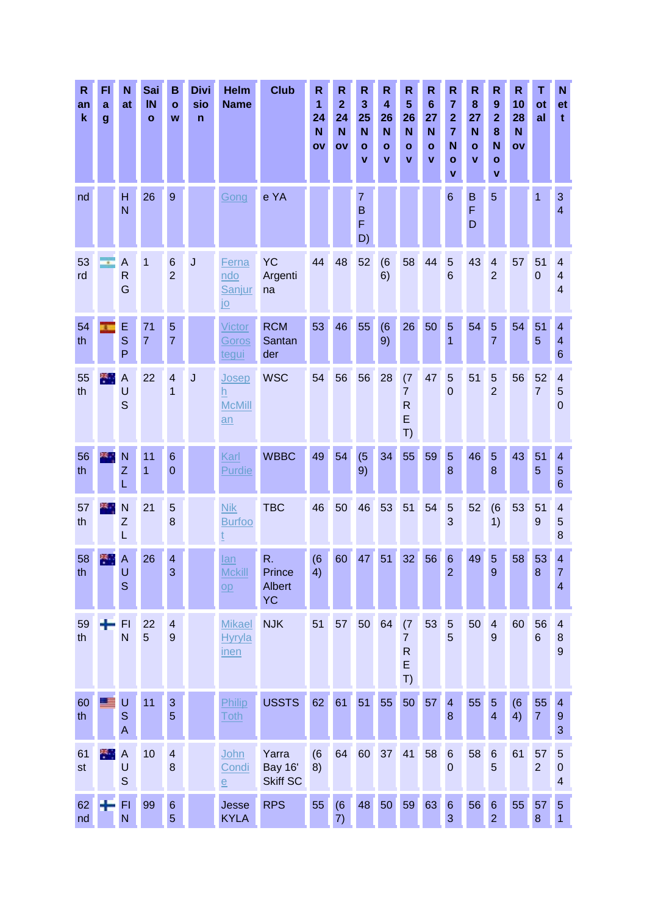| R<br>an<br>$\mathbf k$ | FI<br>a<br>g | N<br>at                       | Sai<br>IN<br>$\mathbf{o}$ | в<br>$\mathbf{o}$<br>W                    | <b>Divi</b><br>sio<br>n | <b>Helm</b><br><b>Name</b>                    | <b>Club</b>                                | R<br>1<br>24<br>N<br>OV | $\mathsf{R}$<br>$\overline{\mathbf{2}}$<br>24<br>N<br>OV | R<br>3<br>25<br>N<br>O<br>v    | $\mathsf{R}$<br>$\overline{\mathbf{4}}$<br>26<br>N<br>O<br>v | $\mathsf{R}$<br>5<br>26<br>$\mathbf N$<br>$\mathbf{o}$<br>۷ | $\mathsf R$<br>$6\phantom{1}6$<br>27<br>N<br>$\mathbf{o}$<br>v | R<br>$\overline{7}$<br>$\overline{\mathbf{2}}$<br>$\overline{7}$<br>N<br>$\mathbf{o}$<br>$\mathbf v$ | R<br>8<br>27<br>N<br>$\mathbf{o}$<br>V | R<br>$\boldsymbol{9}$<br>$\overline{2}$<br>8<br>N<br>$\mathbf{o}$<br>$\mathbf v$ | $\mathsf{R}$<br>10<br>28<br>N<br>ov | Τ<br>ot<br>al          | N<br>et<br>t                                   |
|------------------------|--------------|-------------------------------|---------------------------|-------------------------------------------|-------------------------|-----------------------------------------------|--------------------------------------------|-------------------------|----------------------------------------------------------|--------------------------------|--------------------------------------------------------------|-------------------------------------------------------------|----------------------------------------------------------------|------------------------------------------------------------------------------------------------------|----------------------------------------|----------------------------------------------------------------------------------|-------------------------------------|------------------------|------------------------------------------------|
| nd                     |              | H<br>N                        | 26                        | 9                                         |                         | Gong                                          | e YA                                       |                         |                                                          | $\overline{7}$<br>B<br>F<br>D) |                                                              |                                                             |                                                                | $6\phantom{1}6$                                                                                      | B<br>F<br>D                            | 5                                                                                |                                     | 1                      | 3<br>$\overline{4}$                            |
| 53<br>rd               | ÷            | A<br>$\mathsf{R}$<br>G        | 1                         | $6\phantom{1}6$<br>$\overline{2}$         | J                       | Ferna<br>ndo<br>Sanjur<br><u>jo</u>           | <b>YC</b><br>Argenti<br>na                 | 44                      | 48                                                       | 52                             | (6)<br>6)                                                    | 58                                                          | 44                                                             | 5<br>6                                                                                               | 43                                     | $\overline{\mathbf{4}}$<br>$\overline{2}$                                        | 57                                  | 51<br>$\overline{0}$   | 4<br>$\overline{\mathbf{4}}$<br>$\overline{4}$ |
| 54<br>th               |              | E<br>S<br>P                   | 71<br>$\overline{7}$      | 5<br>$\overline{7}$                       |                         | Victor<br>Goros<br><u>tegui</u>               | <b>RCM</b><br>Santan<br>der                | 53                      | 46                                                       | 55                             | (6)<br>9)                                                    | 26                                                          | 50                                                             | 5<br>1                                                                                               | 54                                     | 5<br>$\overline{7}$                                                              | 54                                  | 51<br>5                | 4<br>$\overline{\mathbf{4}}$<br>6              |
| 55<br>th               | ж.,          | $\overline{A}$<br>U<br>S      | 22                        | $\overline{4}$<br>1                       | J                       | Josep<br>h<br><b>McMill</b><br>an             | <b>WSC</b>                                 | 54                      | 56                                                       | 56                             | 28                                                           | (7)<br>$\overline{7}$<br>$\mathsf{R}$<br>E<br>T)            | 47                                                             | 5<br>$\mathbf 0$                                                                                     | 51                                     | 5<br>$\overline{2}$                                                              | 56                                  | 52<br>$\overline{7}$   | 4<br>5<br>$\mathbf 0$                          |
| 56<br>th               |              | N<br>Ζ<br>L                   | 11<br>$\overline{1}$      | $6\phantom{1}6$<br>$\overline{0}$         |                         | Karl<br>Purdie                                | <b>WBBC</b>                                | 49                      | 54                                                       | (5)<br>9)                      | 34                                                           | 55                                                          | 59                                                             | 5<br>8                                                                                               | 46                                     | 5<br>8                                                                           | 43                                  | 51<br>5                | 4<br>5<br>6                                    |
| 57<br>th               |              | N<br>Z<br>L                   | 21                        | 5<br>8                                    |                         | <b>Nik</b><br><b>Burfoo</b>                   | <b>TBC</b>                                 | 46                      | 50                                                       | 46                             | 53                                                           | 51                                                          | 54                                                             | 5<br>3                                                                                               | 52                                     | (6)<br>1)                                                                        | 53                                  | 51<br>$\boldsymbol{9}$ | 4<br>5<br>8                                    |
| 58<br>th               |              | A<br>U<br>S                   | 26                        | $\overline{4}$<br>3                       |                         | lan<br><b>Mckill</b><br>$\underline{OP}$      | R.<br>Prince<br><b>Albert</b><br><b>YC</b> | (6)<br>4)               | 60                                                       | 47                             | 51                                                           | 32                                                          | 56                                                             | $6\phantom{1}6$<br>$\overline{2}$                                                                    | 49                                     | 5<br>9                                                                           | 58                                  | 53<br>8                | 4<br>7<br>4                                    |
| 59<br>th               |              | F1<br>N                       | 22<br>5                   | $\overline{\mathbf{4}}$<br>$\overline{9}$ |                         | <b>Mikael</b><br><b>Hyryla</b><br><u>inen</u> | <b>NJK</b>                                 | 51                      | 57                                                       | 50                             | 64                                                           | (7)<br>$\overline{7}$<br>$\mathsf{R}$<br>E<br>T)            | 53                                                             | $\sqrt{5}$<br>5                                                                                      | 50                                     | $\overline{\mathbf{4}}$<br>9                                                     | 60                                  | 56<br>$6\phantom{1}$   | 4<br>$\bf 8$<br>$9\,$                          |
| 60<br>th               | 드르           | $\cup$<br>$\mathbf S$<br>A    | 11                        | 3<br>5                                    |                         | Philip<br><b>Toth</b>                         | <b>USSTS</b>                               | 62                      | 61                                                       | 51                             | 55                                                           | 50                                                          | 57                                                             | $\overline{\mathbf{4}}$<br>8                                                                         | 55                                     | 5<br>$\overline{\mathbf{4}}$                                                     | (6)<br>4)                           | 55<br>$\overline{7}$   | 4<br>$9\,$<br>3                                |
| 61<br>st               | 樂            | $\overline{A}$<br>$\cup$<br>S | 10                        | $\overline{\mathbf{4}}$<br>$\bf 8$        |                         | John<br>Condi<br>$\overline{e}$               | Yarra<br><b>Bay 16'</b><br><b>Skiff SC</b> | (6)<br>8)               | 64                                                       | 60                             | 37                                                           | 41                                                          | 58                                                             | $\,6$<br>$\mathbf 0$                                                                                 | 58                                     | $\,6$<br>5                                                                       | 61                                  | 57<br>$\overline{2}$   | 5<br>$\pmb{0}$<br>4                            |
| 62<br>nd               |              | F1<br>N                       | 99                        | $\,$ 6 $\,$<br>5                          |                         | Jesse<br><b>KYLA</b>                          | <b>RPS</b>                                 | 55                      | (6)<br>7)                                                | 48                             | 50                                                           | 59                                                          | 63                                                             | $\,$ 6 $\,$<br>3                                                                                     | 56                                     | $6\phantom{1}6$<br>$\overline{2}$                                                | 55                                  | 57<br>$\bf 8$          | $\sqrt{5}$<br>$\mathbf{1}$                     |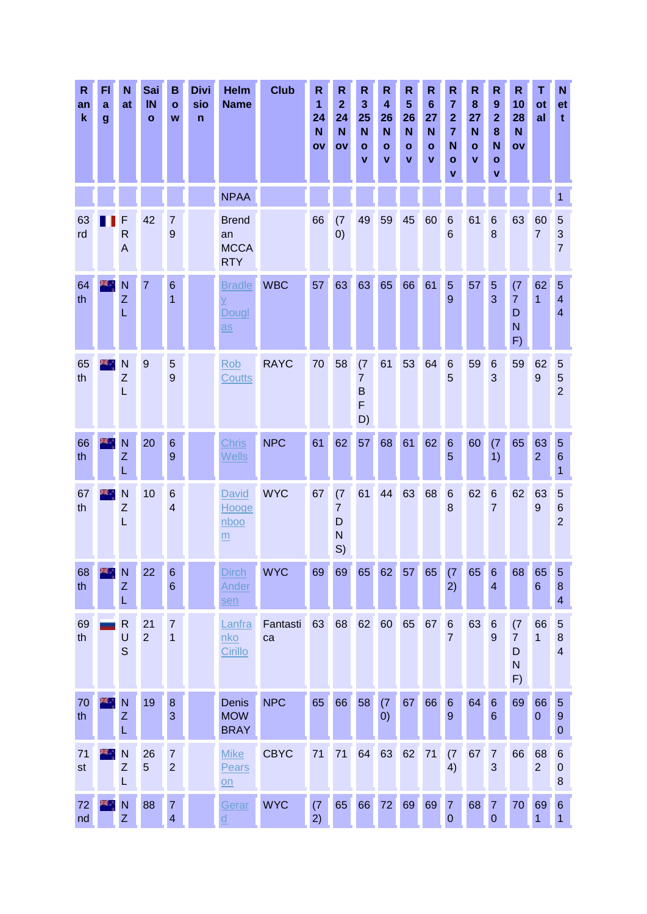| $\mathsf{R}$<br>an<br>$\mathbf k$ | FI<br>a<br>$\boldsymbol{g}$ | N<br>at                           | Sai<br>IN<br>$\mathbf{o}$ | в<br>$\mathbf{o}$<br>W              | <b>Divi</b><br>sio<br>$\mathbf n$ | <b>Helm</b><br><b>Name</b>                                            | <b>Club</b>    | R<br>$\mathbf{1}$<br>24<br>N<br>OV | $\mathsf R$<br>$\overline{2}$<br>24<br>$\mathbf N$<br>ov | R<br>3<br>25<br>N<br>$\mathbf{o}$<br>۷                     | R<br>$\overline{\mathbf{4}}$<br>26<br>N<br>$\mathbf{o}$<br>v | $\mathsf{R}$<br>$5\phantom{1}$<br>26<br>$\mathbf N$<br>$\mathbf{o}$<br>$\mathbf v$ | R<br>$6\phantom{1}$<br>27<br>N<br>$\mathbf{o}$<br>v | $\mathsf{R}$<br>$\overline{7}$<br>$\overline{\mathbf{2}}$<br>$\overline{7}$<br>N<br>$\mathbf{o}$<br>$\mathbf v$ | $\mathsf R$<br>8<br>27<br>N<br>$\bullet$<br>$\mathbf v$ | R<br>$\boldsymbol{9}$<br>$\overline{2}$<br>8<br>N<br>$\mathbf{o}$<br>$\mathbf{v}$ | R<br>10<br>28<br>$\mathbf N$<br>$\mathbf{O}$     | т<br>ot<br>al          | N<br>et<br>t                                        |
|-----------------------------------|-----------------------------|-----------------------------------|---------------------------|-------------------------------------|-----------------------------------|-----------------------------------------------------------------------|----------------|------------------------------------|----------------------------------------------------------|------------------------------------------------------------|--------------------------------------------------------------|------------------------------------------------------------------------------------|-----------------------------------------------------|-----------------------------------------------------------------------------------------------------------------|---------------------------------------------------------|-----------------------------------------------------------------------------------|--------------------------------------------------|------------------------|-----------------------------------------------------|
|                                   |                             |                                   |                           |                                     |                                   | <b>NPAA</b>                                                           |                |                                    |                                                          |                                                            |                                                              |                                                                                    |                                                     |                                                                                                                 |                                                         |                                                                                   |                                                  |                        | 1                                                   |
| 63<br>rd                          |                             | F<br>$\mathsf{R}$<br>$\mathsf{A}$ | 42                        | 7<br>9                              |                                   | <b>Brend</b><br>an<br><b>MCCA</b><br><b>RTY</b>                       |                | 66                                 | (7)<br>$\left( 0\right)$                                 | 49                                                         | 59                                                           | 45                                                                                 | 60                                                  | $6\phantom{1}6$<br>6                                                                                            | 61                                                      | 6<br>8                                                                            | 63                                               | 60<br>$\overline{7}$   | 5<br>3<br>$\overline{7}$                            |
| 64<br>th                          | 24.7                        | N<br>Z<br>L                       | 7                         | $6\phantom{1}6$<br>1                |                                   | <b>Bradle</b><br>$\overline{X}$<br>Dougl<br>$\overline{\mathbf{a}}$ s | <b>WBC</b>     | 57                                 | 63                                                       | 63                                                         | 65                                                           | 66                                                                                 | 61                                                  | $\overline{5}$<br>9                                                                                             | 57                                                      | 5<br>3                                                                            | (7)<br>$\overline{7}$<br>D<br>N<br>F)            | 62<br>$\mathbf{1}$     | 5<br>$\overline{\mathbf{4}}$<br>$\overline{4}$      |
| 65<br>th                          |                             | N<br>Z<br>L                       | 9                         | 5<br>9                              |                                   | Rob<br>Coutts                                                         | <b>RAYC</b>    | 70                                 | 58                                                       | (7)<br>$\overline{7}$<br>$\mathsf B$<br>$\mathsf{F}$<br>D) | 61                                                           | 53                                                                                 | 64                                                  | $\,6$<br>5                                                                                                      | 59                                                      | $\,6$<br>3                                                                        | 59                                               | 62<br>$\boldsymbol{9}$ | 5<br>5<br>$\overline{2}$                            |
| 66<br>th                          |                             | N<br>Z<br>L                       | 20                        | $6\phantom{1}6$<br>$\boldsymbol{9}$ |                                   | <b>Chris</b><br><b>Wells</b>                                          | <b>NPC</b>     | 61                                 | 62                                                       | 57                                                         | 68                                                           | 61                                                                                 | 62                                                  | $\,6\,$<br>5                                                                                                    | 60                                                      | (7)<br>1)                                                                         | 65                                               | 63<br>2 <sup>1</sup>   | $\overline{5}$<br>$6\phantom{1}6$<br>1              |
| 67<br>th                          |                             | N<br>Z<br>L                       | 10                        | $6\phantom{1}6$<br>$\overline{4}$   |                                   | <b>David</b><br>Hooge<br>nboo<br>m                                    | <b>WYC</b>     | 67                                 | (7)<br>$\overline{7}$<br>D<br>$\mathsf{N}$<br>S)         | 61                                                         | 44                                                           | 63                                                                                 | 68                                                  | $6\phantom{1}6$<br>8                                                                                            | 62                                                      | $\boldsymbol{6}$<br>$\overline{7}$                                                | 62                                               | 63<br>$\boldsymbol{9}$ | $\overline{5}$<br>$6\phantom{1}6$<br>$\overline{2}$ |
| 68<br>th                          |                             | N<br>Z<br>L                       | 22                        | 6<br>6                              |                                   | <b>Dirch</b><br><u>Ander</u><br>sen                                   | <b>WYC</b>     | 69                                 | 69                                                       | 65                                                         | 62                                                           | 57                                                                                 | 65                                                  | (7)<br>2)                                                                                                       | 65                                                      | $6\phantom{1}6$<br>$\overline{4}$                                                 | 68                                               | 65<br>$6\phantom{1}$   | 5<br>$\bf 8$<br>4                                   |
| 69<br>th                          |                             | $\mathsf{R}$<br>U<br>$\mathsf{S}$ | 21<br>$\overline{2}$      | $\overline{7}$<br>$\mathbf{1}$      |                                   | Lanfra<br>nko<br>Cirillo                                              | Fantasti<br>ca | 63                                 | 68                                                       | 62                                                         | 60                                                           | 65                                                                                 | 67                                                  | $\,6\,$<br>7                                                                                                    | 63                                                      | $6\phantom{1}6$<br>9                                                              | (7)<br>$\overline{7}$<br>D<br>$\mathsf{N}$<br>F) | 66<br>$\mathbf{1}$     | $\overline{5}$<br>$\bf 8$<br>$\overline{4}$         |
| 70<br>th                          | ж,                          | N<br>Z<br>L                       | 19                        | $\bf 8$<br>3                        |                                   | Denis<br><b>MOW</b><br><b>BRAY</b>                                    | <b>NPC</b>     | 65                                 | 66                                                       | 58                                                         | (7)<br>$\left( 0\right)$                                     | 67                                                                                 | 66                                                  | $\,6$<br>$\overline{9}$                                                                                         | 64                                                      | $6\phantom{.}6$<br>$6\phantom{1}6$                                                | 69                                               | 66<br>$\boldsymbol{0}$ | $\overline{5}$<br>$9\,$<br>0                        |
| 71<br>st                          |                             | N<br>$\boldsymbol{Z}$<br>L        | 26<br>$\overline{5}$      | $\overline{7}$<br>$\overline{2}$    |                                   | <b>Mike</b><br>Pears<br>$\underline{\text{on}}$                       | <b>CBYC</b>    | 71                                 | 71                                                       | 64                                                         | 63                                                           | 62                                                                                 | 71                                                  | (7)<br>4)                                                                                                       | 67                                                      | $\overline{7}$<br>3                                                               | 66                                               | 68<br>$\overline{2}$   | $6\phantom{.}6$<br>$\mathbf 0$<br>8                 |
| 72<br>nd                          |                             | N<br>Z                            | 88                        | 7<br>$\overline{\mathbf{4}}$        |                                   | Gerar<br>$\underline{\underline{\mathsf{d}}}$                         | <b>WYC</b>     | (7)<br>2)                          | 65                                                       | 66                                                         | 72                                                           | 69                                                                                 | 69                                                  | $\overline{7}$<br>$\mathbf 0$                                                                                   | 68                                                      | $\overline{7}$<br>$\boldsymbol{0}$                                                | 70                                               | 69<br>$\mathbf{1}$     | $6\phantom{1}6$<br>$\mathbf{1}$                     |